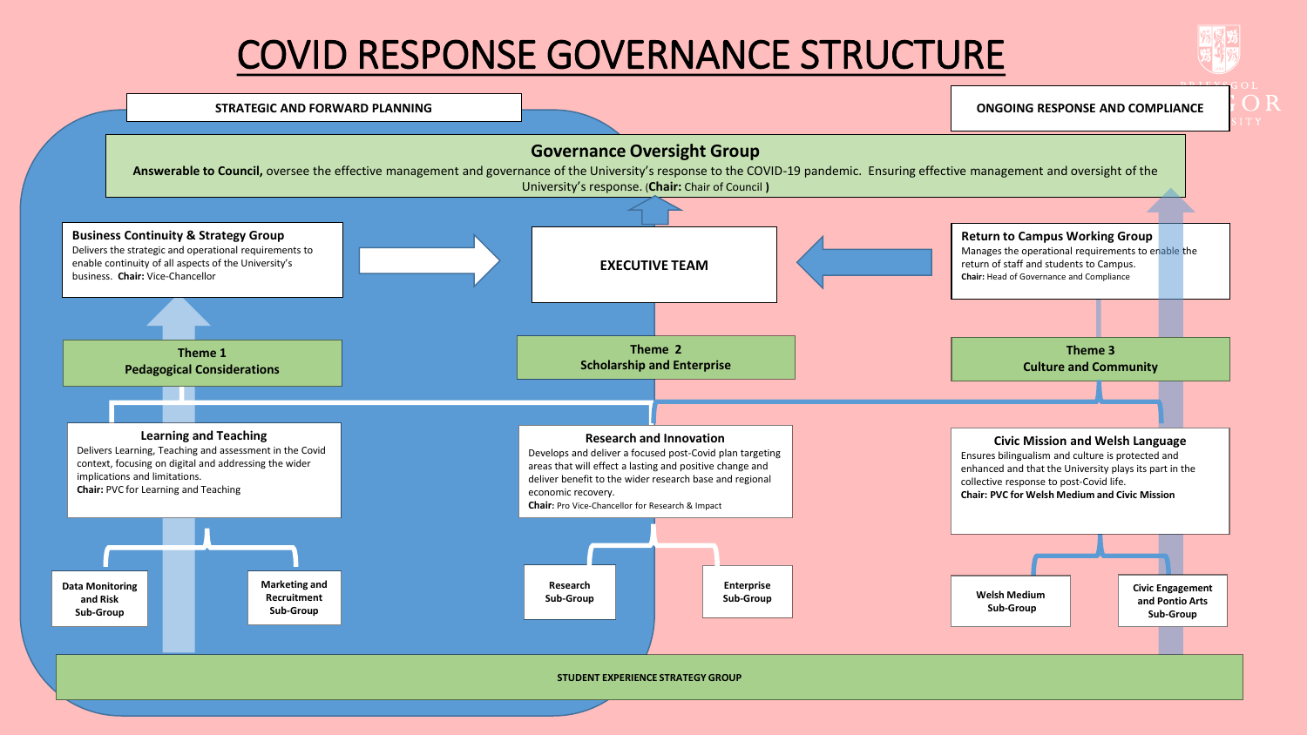## COVID RESPONSE GOVERNANCE STRUCTURE